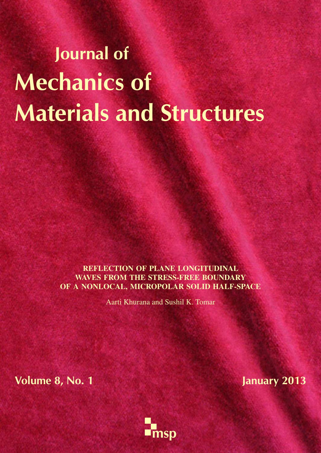# Journal of Mechanics of Materials and Structures

REFLECTION OF PLANE LONGITUDINAL WAVES FROM THE STRESS-FREE BOUNDARY OF A NONLOCAL, MICROPOLAR SOLID HALF-SPACE

Aarti Khurana and Sushil K. Tomar

Volume 8, No. 1 January 2013

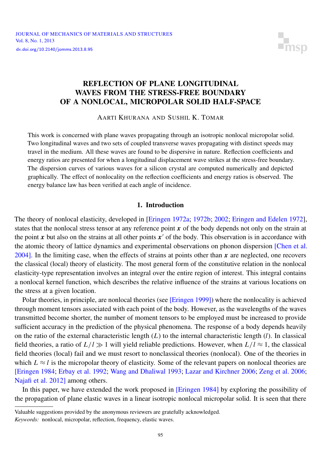

# <span id="page-1-0"></span>REFLECTION OF PLANE LONGITUDINAL WAVES FROM THE STRESS-FREE BOUNDARY OF A NONLOCAL, MICROPOLAR SOLID HALF-SPACE

AARTI KHURANA AND SUSHIL K. TOMAR

This work is concerned with plane waves propagating through an isotropic nonlocal micropolar solid. Two longitudinal waves and two sets of coupled transverse waves propagating with distinct speeds may travel in the medium. All these waves are found to be dispersive in nature. Reflection coefficients and energy ratios are presented for when a longitudinal displacement wave strikes at the stress-free boundary. The dispersion curves of various waves for a silicon crystal are computed numerically and depicted graphically. The effect of nonlocality on the reflection coefficients and energy ratios is observed. The energy balance law has been verified at each angle of incidence.

#### 1. Introduction

The theory of nonlocal elasticity, developed in [\[Eringen 1972a;](#page-13-0) [1972b;](#page-13-1) [2002;](#page-13-2) [Eringen and Edelen 1972\]](#page-13-3), states that the nonlocal stress tensor at any reference point  $x$  of the body depends not only on the strain at the point  $x$  but also on the strains at all other points  $x'$  of the body. This observation is in accordance with the atomic theory of lattice dynamics and experimental observations on phonon dispersion [\[Chen et al.](#page-12-0) [2004\]](#page-12-0). In the limiting case, when the effects of strains at points other than *x* are neglected, one recovers the classical (local) theory of elasticity. The most general form of the constitutive relation in the nonlocal elasticity-type representation involves an integral over the entire region of interest. This integral contains a nonlocal kernel function, which describes the relative influence of the strains at various locations on the stress at a given location.

Polar theories, in principle, are nonlocal theories (see [\[Eringen 1999\]](#page-13-4)) where the nonlocality is achieved through moment tensors associated with each point of the body. However, as the wavelengths of the waves transmitted become shorter, the number of moment tensors to be employed must be increased to provide sufficient accuracy in the prediction of the physical phenomena. The response of a body depends heavily on the ratio of the external characteristic length (*L*) to the internal characteristic length (*l*). In classical field theories, a ratio of  $L/l \gg 1$  will yield reliable predictions. However, when  $L/l \approx 1$ , the classical field theories (local) fail and we must resort to nonclassical theories (nonlocal). One of the theories in which  $L \approx l$  is the micropolar theory of elasticity. Some of the relevant papers on nonlocal theories are [\[Eringen 1984;](#page-13-5) [Erbay et al. 1992;](#page-12-1) [Wang and Dhaliwal 1993;](#page-13-6) [Lazar and Kirchner 2006;](#page-13-7) [Zeng et al. 2006;](#page-13-8) [Najafi et al. 2012\]](#page-13-9) among others.

In this paper, we have extended the work proposed in [\[Eringen 1984\]](#page-13-5) by exploring the possibility of the propagation of plane elastic waves in a linear isotropic nonlocal micropolar solid. It is seen that there

Valuable suggestions provided by the anonymous reviewers are gratefully acknowledged.

*Keywords:* nonlocal, micropolar, reflection, frequency, elastic waves.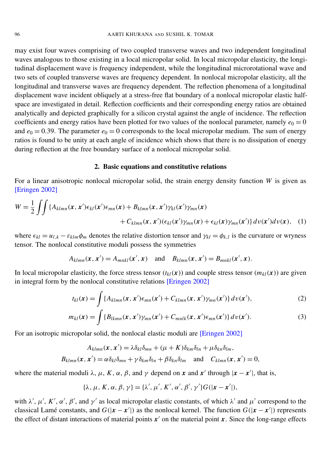may exist four waves comprising of two coupled transverse waves and two independent longitudinal waves analogous to those existing in a local micropolar solid. In local micropolar elasticity, the longitudinal displacement wave is frequency independent, while the longitudinal microrotational wave and two sets of coupled transverse waves are frequency dependent. In nonlocal micropolar elasticity, all the longitudinal and transverse waves are frequency dependent. The reflection phenomena of a longitudinal displacement wave incident obliquely at a stress-free flat boundary of a nonlocal micropolar elastic halfspace are investigated in detail. Reflection coefficients and their corresponding energy ratios are obtained analytically and depicted graphically for a silicon crystal against the angle of incidence. The reflection coefficients and energy ratios have been plotted for two values of the nonlocal parameter, namely  $e_0 = 0$ and  $e_0 = 0.39$ . The parameter  $e_0 = 0$  corresponds to the local micropolar medium. The sum of energy ratios is found to be unity at each angle of incidence which shows that there is no dissipation of energy during reflection at the free boundary surface of a nonlocal micropolar solid.

#### 2. Basic equations and constitutive relations

For a linear anisotropic nonlocal micropolar solid, the strain energy density function *W* is given as [\[Eringen 2002\]](#page-13-2)

$$
W = \frac{1}{2} \iint \{A_{klmn}(x, x')\epsilon_{kl}(x')\epsilon_{mn}(x) + B_{klmn}(x, x')\gamma_{kl}(x')\gamma_{mn}(x) + C_{klmn}(x, x')(\epsilon_{kl}(x')\gamma_{mn}(x) + \epsilon_{kl}(x)\gamma_{mn}(x')\}dv(x')dv(x), \quad (1)
$$

where  $\epsilon_{kl} = u_{l,k} - \epsilon_{klm} \phi_m$  denotes the relative distortion tensor and  $\gamma_{kl} = \phi_{k,l}$  is the curvature or wryness tensor. The nonlocal constitutive moduli possess the symmetries

$$
A_{klmn}(\mathbf{x}, \mathbf{x}') = A_{mnkl}(\mathbf{x}', \mathbf{x}) \quad \text{and} \quad B_{klmn}(\mathbf{x}, \mathbf{x}') = B_{mnkl}(\mathbf{x}', \mathbf{x}).
$$

In local micropolar elasticity, the force stress tensor  $(t_k(x))$  and couple stress tensor  $(m_{ki}(x))$  are given in integral form by the nonlocal constitutive relations [\[Eringen 2002\]](#page-13-2)

<span id="page-2-1"></span><span id="page-2-0"></span>
$$
t_{kl}(\mathbf{x}) = \int \{A_{klmn}(\mathbf{x}, \mathbf{x}')\epsilon_{mn}(\mathbf{x}') + C_{klmn}(\mathbf{x}, \mathbf{x}')\gamma_{mn}(\mathbf{x}')\} dv(\mathbf{x}'),
$$
\n(2)

$$
m_{kl}(\mathbf{x}) = \int \{B_{lkmn}(\mathbf{x}, \mathbf{x}')\gamma_{mn}(\mathbf{x}') + C_{mnlk}(\mathbf{x}, \mathbf{x}')\epsilon_{mn}(\mathbf{x}')\} d\nu(\mathbf{x}'). \tag{3}
$$

For an isotropic micropolar solid, the nonlocal elastic moduli are [\[Eringen 2002\]](#page-13-2)

$$
A_{klmn}(\mathbf{x}, \mathbf{x}') = \lambda \delta_{kl} \delta_{mn} + (\mu + K) \delta_{km} \delta_{ln} + \mu \delta_{kn} \delta_{lm},
$$
  

$$
B_{klmn}(\mathbf{x}, \mathbf{x}') = \alpha \delta_{kl} \delta_{mn} + \gamma \delta_{km} \delta_{ln} + \beta \delta_{kn} \delta_{lm} \text{ and } C_{klmn}(\mathbf{x}, \mathbf{x}') = 0,
$$

where the material moduli  $\lambda$ ,  $\mu$ ,  $K$ ,  $\alpha$ ,  $\beta$ , and  $\gamma$  depend on *x* and *x'* through  $|x - x'|$ , that is,

$$
\{\lambda, \mu, K, \alpha, \beta, \gamma\} = \{\lambda', \mu', K', \alpha', \beta', \gamma'\} G(|\mathbf{x} - \mathbf{x}'|),
$$

with  $\lambda', \mu', K', \alpha', \beta'$ , and  $\gamma'$  as local micropolar elastic constants, of which  $\lambda'$  and  $\mu'$  correspond to the classical Lamé constants, and  $G(|x - x'|)$  as the nonlocal kernel. The function  $G(|x - x'|)$  represents the effect of distant interactions of material points  $x'$  on the material point  $x$ . Since the long-range effects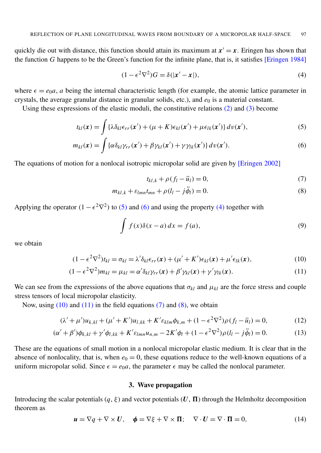quickly die out with distance, this function should attain its maximum at  $x' = x$ . Eringen has shown that the function *G* happens to be the Green's function for the infinite plane, that is, it satisfies [\[Eringen 1984\]](#page-13-5)

<span id="page-3-2"></span>
$$
(1 - \epsilon^2 \nabla^2) G = \delta(|\mathbf{x}' - \mathbf{x}|),\tag{4}
$$

where  $\epsilon = e_0 a$ , *a* being the internal characteristic length (for example, the atomic lattice parameter in crystals, the average granular distance in granular solids, etc.), and  $e_0$  is a material constant.

Using these expressions of the elastic moduli, the constitutive relations  $(2)$  and  $(3)$  become

$$
t_{kl}(\mathbf{x}) = \int {\{\lambda \delta_{kl} \epsilon_{rr}(\mathbf{x}') + (\mu + K) \epsilon_{kl}(\mathbf{x}') + \mu \epsilon_{lk}(\mathbf{x}')} d\mathbf{v}(\mathbf{x}'),
$$
\n(5)

$$
m_{kl}(\mathbf{x}) = \int {\alpha \delta_{kl} \gamma_{rr}(\mathbf{x}')} + \beta \gamma_{kl}(\mathbf{x}') + \gamma \gamma_{lk}(\mathbf{x}') d\mathbf{v}(\mathbf{x}'). \tag{6}
$$

The equations of motion for a nonlocal isotropic micropolar solid are given by [\[Eringen 2002\]](#page-13-2)

<span id="page-3-6"></span><span id="page-3-5"></span><span id="page-3-4"></span><span id="page-3-3"></span><span id="page-3-1"></span><span id="page-3-0"></span>
$$
t_{kl,k} + \rho(f_l - \ddot{u}_l) = 0,\t\t(7)
$$

$$
m_{kl,k} + \varepsilon_{lmn} t_{mn} + \rho (l_l - j\ddot{\phi}_l) = 0.
$$
\n(8)

Applying the operator  $(1 - \epsilon^2 \nabla^2)$  to [\(5\)](#page-3-0) and [\(6\)](#page-3-1) and using the property [\(4\)](#page-3-2) together with

$$
\int f(x)\delta(x-a) dx = f(a),
$$
\n(9)

we obtain

$$
(1 - \epsilon^2 \nabla^2) t_{kl} = \sigma_{kl} = \lambda' \delta_{kl} \epsilon_{rr}(\mathbf{x}) + (\mu' + K') \epsilon_{kl}(\mathbf{x}) + \mu' \epsilon_{lk}(\mathbf{x}), \tag{10}
$$

$$
(1 - \epsilon^2 \nabla^2) m_{kl} = \mu_{kl} = \alpha' \delta_{kl} \gamma_{rr}(\mathbf{x}) + \beta' \gamma_{kl}(\mathbf{x}) + \gamma' \gamma_{lk}(\mathbf{x}). \tag{11}
$$

We can see from the expressions of the above equations that  $\sigma_{kl}$  and  $\mu_{kl}$  are the force stress and couple stress tensors of local micropolar elasticity.

Now, using  $(10)$  and  $(11)$  in the field equations  $(7)$  and  $(8)$ , we obtain

$$
(\lambda' + \mu')u_{k,kl} + (\mu' + K')u_{l,kk} + K'\varepsilon_{klm}\phi_{k,m} + (1 - \epsilon^2 \nabla^2)\rho(f_l - \ddot{u}_l) = 0,
$$
 (12)

$$
(\alpha' + \beta')\phi_{k,kl} + \gamma'\phi_{l,kk} + K'\varepsilon_{lmn}u_{n,m} - 2K'\phi_l + (1 - \epsilon^2 \nabla^2)\rho(l_l - j\ddot{\phi}_l) = 0.
$$
 (13)

These are the equations of small motion in a nonlocal micropolar elastic medium. It is clear that in the absence of nonlocality, that is, when  $e_0 = 0$ , these equations reduce to the well-known equations of a uniform micropolar solid. Since  $\epsilon = e_0a$ , the parameter  $\epsilon$  may be called the nonlocal parameter.

#### <span id="page-3-8"></span><span id="page-3-7"></span>3. Wave propagation

Introducing the scalar potentials  $(q, \xi)$  and vector potentials  $(U, \Pi)$  through the Helmholtz decomposition theorem as

<span id="page-3-9"></span>
$$
\mathbf{u} = \nabla q + \nabla \times \mathbf{U}, \quad \mathbf{\phi} = \nabla \xi + \nabla \times \mathbf{\Pi}; \quad \nabla \cdot \mathbf{U} = \nabla \cdot \mathbf{\Pi} = 0, \tag{14}
$$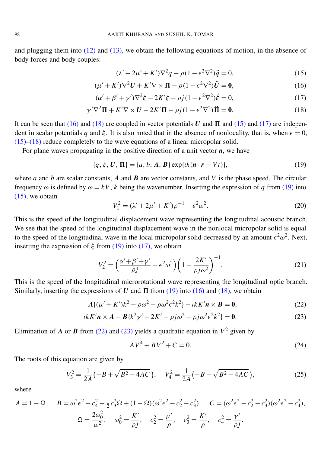and plugging them into  $(12)$  and  $(13)$ , we obtain the following equations of motion, in the absence of body forces and body couples:

<span id="page-4-3"></span><span id="page-4-2"></span><span id="page-4-1"></span><span id="page-4-0"></span>
$$
(\lambda' + 2\mu' + K')\nabla^2 q - \rho(1 - \epsilon^2 \nabla^2)\ddot{q} = 0,\tag{15}
$$

$$
(\mu' + K')\nabla^2 \mathbf{U} + K'\nabla \times \mathbf{\Pi} - \rho(1 - \epsilon^2 \nabla^2) \ddot{\mathbf{U}} = \mathbf{0},\tag{16}
$$

$$
(\alpha' + \beta' + \gamma')\nabla^2 \xi - 2K'\xi - \rho j(1 - \epsilon^2 \nabla^2)\ddot{\xi} = 0,
$$
\n(17)

$$
\gamma' \nabla^2 \Pi + K' \nabla \times U - 2K' \Pi - \rho j (1 - \epsilon^2 \nabla^2) \ddot{\Pi} = 0.
$$
 (18)

It can be seen that [\(16\)](#page-4-0) and [\(18\)](#page-4-1) are coupled in vector potentials *U* and  $\Pi$  and [\(15\)](#page-4-2) and [\(17\)](#page-4-3) are independent in scalar potentials *q* and  $\xi$ . It is also noted that in the absence of nonlocality, that is, when  $\epsilon = 0$ , [\(15\)–](#page-4-2)[\(18\)](#page-4-1) reduce completely to the wave equations of a linear micropolar solid.

For plane waves propagating in the positive direction of a unit vector *n*, we have

$$
\{q, \xi, U, \Pi\} = \{a, b, A, B\} \exp\{ik(n \cdot r - Vt)\},\tag{19}
$$

where *a* and *b* are scalar constants,  $\vec{A}$  and  $\vec{B}$  are vector constants, and  $\vec{V}$  is the phase speed. The circular frequency  $\omega$  is defined by  $\omega = kV$ , *k* being the wavenumber. Inserting the expression of *q* from [\(19\)](#page-4-4) into  $(15)$ , we obtain

<span id="page-4-4"></span>
$$
V_1^2 = (\lambda' + 2\mu' + K')\rho^{-1} - \epsilon^2 \omega^2.
$$
 (20)

This is the speed of the longitudinal displacement wave representing the longitudinal acoustic branch. We see that the speed of the longitudinal displacement wave in the nonlocal micropolar solid is equal to the speed of the longitudinal wave in the local micropolar solid decreased by an amount  $\epsilon^2 \omega^2$ . Next, inserting the expression of  $\xi$  from [\(19\)](#page-4-4) into [\(17\),](#page-4-3) we obtain

$$
V_2^2 = \left(\frac{\alpha' + \beta' + \gamma'}{\rho j} - \epsilon^2 \omega^2\right) \left(1 - \frac{2K'}{\rho j \omega^2}\right)^{-1}.
$$
 (21)

This is the speed of the longitudinal microrotational wave representing the longitudinal optic branch. Similarly, inserting the expressions of *U* and  $\Pi$  from [\(19\)](#page-4-4) into [\(16\)](#page-4-0) and [\(18\),](#page-4-1) we obtain

$$
A\{(\mu' + K')k^2 - \rho\omega^2 - \rho\omega^2\epsilon^2k^2\} - ikK'n \times B = 0,
$$
\n(22)

$$
ikK'n \times A - B\{k^2\gamma' + 2K' - \rho j\omega^2 - \rho j\omega^2 \epsilon^2 k^2\} = 0.
$$
\n(23)

Elimination of *A* or *B* from [\(22\)](#page-4-5) and [\(23\)](#page-4-6) yields a quadratic equation in  $V^2$  given by

<span id="page-4-6"></span><span id="page-4-5"></span>
$$
AV^4 + BV^2 + C = 0.\t(24)
$$

The roots of this equation are given by

$$
V_3^2 = \frac{1}{2A} \left( -B + \sqrt{B^2 - 4AC} \right), \quad V_4^2 = \frac{1}{2A} \left( -B - \sqrt{B^2 - 4AC} \right), \tag{25}
$$

where

$$
A = 1 - \Omega, \quad B = \omega^2 \epsilon^2 - c_4^2 - \frac{1}{2} c_3^2 \Omega + (1 - \Omega)(\omega^2 \epsilon^2 - c_2^2 - c_3^2), \quad C = (\omega^2 \epsilon^2 - c_2^2 - c_3^2)(\omega^2 \epsilon^2 - c_4^2),
$$

$$
\Omega = \frac{2\omega_0^2}{\omega^2}, \quad \omega_0^2 = \frac{K'}{\rho j}, \quad c_2^2 = \frac{\mu'}{\rho}, \quad c_3^2 = \frac{K'}{\rho}, \quad c_4^2 = \frac{\gamma'}{\rho j}.
$$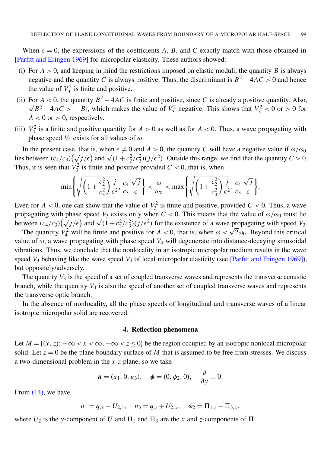When  $\epsilon = 0$ , the expressions of the coefficients A, B, and C exactly match with those obtained in [\[Parfitt and Eringen 1969\]](#page-13-10) for micropolar elasticity. These authors showed:

- (i) For  $A > 0$ , and keeping in mind the restrictions imposed on elastic moduli, the quantity *B* is always negative and the quantity *C* is always positive. Thus, the discriminant is  $B^2 - 4AC > 0$  and hence the value of  $V_3^2$  is finite and positive.
- (ii) For  $A < 0$ , the quantity  $B^2 4AC$  is finite and positive, since *C* is already a positive quantity. Also,  $B^2 - 4AC > |-B|$ , which makes the value of  $V_3^2$  negative. This shows that  $V_3^2 < 0$  or  $> 0$  for  $A < 0$  or  $> 0$ , respectively.
- (iii)  $V_4^2$  is a finite and positive quantity for  $A > 0$  as well as for  $A < 0$ . Thus, a wave propagating with phase speed  $V_4$  exists for all values of  $\omega$ .

In the present case, that is, when  $\epsilon \neq 0$  and  $A > 0$ , the quantity *C* will have a negative value if  $\omega/\omega_0$ In the present case, that is, when  $\epsilon \neq 0$  and  $A > 0$ , the quantity *C* will have a negative value if  $\omega/\omega_0$  lies between  $(c_4/c_3)(\sqrt{j}/\epsilon)$  and  $\sqrt{(1+c_2^2/c_3^2)(j/\epsilon^2)}$ . Outside this range, we find that the quantity  $C >$ Thus, it is seen that  $V_3^2$  is finite and positive provided  $C < 0$ , that is, when

$$
\min\left\{\sqrt{\left(1+\frac{c_2^2}{c_3^2}\right)\frac{j}{\epsilon^2}},\frac{c_4}{c_3}\frac{\sqrt{j}}{\epsilon}\right\}<\frac{\omega}{\omega_0}<\max\left\{\sqrt{\left(1+\frac{c_2^2}{c_3^2}\right)\frac{j}{\epsilon^2}},\frac{c_4}{c_3}\frac{\sqrt{j}}{\epsilon}\right\}.
$$

Even for  $A < 0$ , one can show that the value of  $V_3^2$  is finite and positive, provided  $C < 0$ . Thus, a wave propagating with phase speed  $V_3$  exists only when  $C < 0$ . This means that the value of  $\omega/\omega_0$  must lie propagating with phase speed  $V_3$  exists only when  $C < 0$ . This means that the value of  $\omega/\omega_0$  must lie<br>between  $(c_4/c_3)(\sqrt{j}/\epsilon)$  and  $\sqrt{(1+c_2^2/c_3^2)(j/\epsilon^2)}$  for the existence of a wave propagating with speed  $V_3$ .

ween  $(c_4/c_3)(\sqrt{J/\epsilon})$  and  $\sqrt{(1 + c_2^2/c_3^2)(J/\epsilon^2)}$  for the existence of a wave propagating with speed  $v_3$ .<br>The quantity  $V_4^2$  will be finite and positive for  $A < 0$ , that is, when  $\omega < \sqrt{2}\omega_0$ . Beyond this critical value of  $\omega$ , a wave propagating with phase speed  $V_4$  will degenerate into distance-decaying sinusoidal vibrations. Thus, we conclude that the nonlocality in an isotropic micropolar medium results in the wave speed *V*<sub>3</sub> behaving like the wave speed *V*<sub>4</sub> of local micropolar elasticity (see [\[Parfitt and Eringen 1969\]](#page-13-10)), but oppositely/adversely.

The quantity  $V_3$  is the speed of a set of coupled transverse waves and represents the transverse acoustic branch, while the quantity *V*<sup>4</sup> is also the speed of another set of coupled transverse waves and represents the transverse optic branch.

In the absence of nonlocality, all the phase speeds of longitudinal and transverse waves of a linear isotropic micropolar solid are recovered.

#### 4. Reflection phenomena

Let  $M = \{(x, z): -\infty < x < \infty, -\infty < z \le 0\}$  be the region occupied by an isotropic nonlocal micropolar solid. Let  $z = 0$  be the plane boundary surface of *M* that is assumed to be free from stresses. We discuss a two-dimensional problem in the *x*-*z* plane, so we take

$$
u = (u_1, 0, u_3), \quad \phi = (0, \phi_2, 0), \quad \frac{\partial}{\partial y} \equiv 0.
$$

From [\(14\),](#page-3-9) we have

$$
u_1 = q_{,x} - U_{2,z}, \quad u_3 = q_{,z} + U_{2,x}, \quad \phi_2 = \Pi_{1,z} - \Pi_{3,x},
$$

where  $U_2$  is the *y*-component of  $U$  and  $\Pi_1$  and  $\Pi_3$  are the *x* and *z*-components of  $\Pi$ .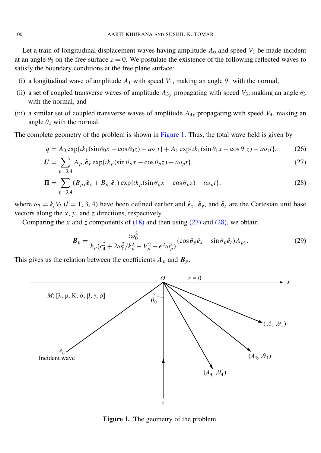Let a train of longitudinal displacement waves having amplitude  $A_0$  and speed  $V_1$  be made incident at an angle  $\theta_0$  on the free surface  $z = 0$ . We postulate the existence of the following reflected waves to satisfy the boundary conditions at the free plane surface:

- (i) a longitudinal wave of amplitude  $A_1$  with speed  $V_1$ , making an angle  $\theta_1$  with the normal,
- (ii) a set of coupled transverse waves of amplitude  $A_{3y}$  propagating with speed  $V_3$ , making an angle  $\theta_3$ with the normal, and
- (iii) a similar set of coupled transverse waves of amplitude *A*4*<sup>y</sup>* propagating with speed *V*4, making an angle  $\theta_4$  with the normal.

The complete geometry of the problem is shown in [Figure 1.](#page-6-0) Thus, the total wave field is given by

$$
q = A_0 \exp\{ik_1(\sin \theta_0 x + \cos \theta_0 z) - i\omega_1 t\} + A_1 \exp\{ik_1(\sin \theta_1 x - \cos \theta_1 z) - i\omega_1 t\},
$$
 (26)

$$
U = \sum_{p=3,4} A_{py} \hat{e}_y \exp\{ik_p(\sin \theta_p x - \cos \theta_p z) - i\omega_p t\},\tag{27}
$$
  

$$
\Pi = \sum (B_{px} \hat{e}_x + B_{pz} \hat{e}_z) \exp\{ik_p(\sin \theta_p x - \cos \theta_p z) - i\omega_p t\},\tag{28}
$$

where  $\omega_l = k_l V_l$  (*l* = 1, 3, 4) have been defined earlier and  $\hat{e}_x$ ,  $\hat{e}_y$ , and  $\hat{e}_z$  are the Cartesian unit base vectors along the *x*, *y*, and *z* directions, respectively.

Comparing the *x* and *z* components of  $(18)$  and then using  $(27)$  and  $(28)$ , we obtain

<span id="page-6-3"></span><span id="page-6-2"></span><span id="page-6-1"></span>
$$
\boldsymbol{B}_p = \frac{\iota \omega_0^2}{k_p (c_4^2 + 2\omega_0^2 / k_p^2 - V_p^2 - \epsilon^2 \omega_p^2)} (\cos \theta_p \hat{\boldsymbol{e}}_x + \sin \theta_p \hat{\boldsymbol{e}}_z) A_{py}.
$$
 (29)

This gives us the relation between the coefficients  $A_p$  and  $B_p$ .

 $p=3.4$ 

<span id="page-6-0"></span>

Figure 1. The geometry of the problem.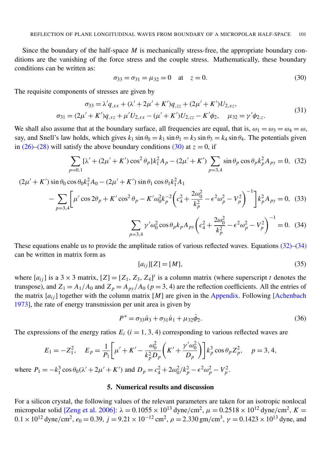Since the boundary of the half-space *M* is mechanically stress-free, the appropriate boundary conditions are the vanishing of the force stress and the couple stress. Mathematically, these boundary conditions can be written as:

<span id="page-7-0"></span>
$$
\sigma_{33} = \sigma_{31} = \mu_{32} = 0 \quad \text{at} \quad z = 0. \tag{30}
$$

The requisite components of stresses are given by

$$
\sigma_{33} = \lambda' q_{,xx} + (\lambda' + 2\mu' + K')q_{,zz} + (2\mu' + K')U_{2,xz},
$$
  

$$
\sigma_{31} = (2\mu' + K')q_{,xz} + \mu' U_{2,xx} - (\mu' + K')U_{2,zz} - K'\phi_2, \quad \mu_{32} = \gamma'\phi_{2,z}.
$$

$$
(31)
$$

We shall also assume that at the boundary surface, all frequencies are equal, that is,  $\omega_1 = \omega_3 = \omega_4 = \omega$ , say, and Snell's law holds, which gives  $k_1 \sin \theta_0 = k_1 \sin \theta_1 = k_3 \sin \theta_3 = k_4 \sin \theta_4$ . The potentials given in [\(26\)](#page-6-3)[–\(28\)](#page-6-2) will satisfy the above boundary conditions [\(30\)](#page-7-0) at  $z = 0$ , if

$$
\sum_{p=0,1} [\lambda' + (2\mu' + K') \cos^2 \theta_p] k_1^2 A_p - (2\mu' + K') \sum_{p=3,4} \sin \theta_p \cos \theta_p k_p^2 A_{py} = 0, (32)
$$

$$
(2\mu' + K')\sin\theta_0 \cos\theta_0 k_1^2 A_0 - (2\mu' + K')\sin\theta_1 \cos\theta_1 k_1^2 A_1
$$
  
 
$$
- \sum_{p=3,4} \left[ \mu' \cos 2\theta_p + K' \cos^2\theta_p - K'\omega_0^2 k_p^{-2} \left( c_4^2 + \frac{2\omega_0^2}{k_p^2} - \epsilon^2 \omega_p^2 - V_p^2 \right)^{-1} \right] k_p^2 A_{py} = 0, (33)
$$
  
 
$$
\sum_{p=3,4} \gamma' \omega_0^2 \cos\theta_p k_p A_{py} \left( c_4^2 + \frac{2\omega_0^2}{k_p^2} - \epsilon^2 \omega_p^2 - V_p^2 \right)^{-1} = 0. (34)
$$

These equations enable us to provide the amplitude ratios of various reflected waves. Equations [\(32\)–](#page-7-1)[\(34\)](#page-7-2) can be written in matrix form as

<span id="page-7-2"></span><span id="page-7-1"></span>
$$
[a_{ij}][Z] = [M],\tag{35}
$$

where  $[a_{ij}]$  is a 3 × 3 matrix,  $[Z] = [Z_1, Z_3, Z_4]^t$  is a column matrix (where superscript *t* denotes the transpose), and  $Z_1 = A_1/A_0$  and  $Z_p = A_{py}/A_0$  ( $p = 3, 4$ ) are the reflection coefficients. All the entries of the matrix  $[a_{ij}]$  together with the column matrix [*M*] are given in the [Appendix.](#page-12-2) Following [\[Achenbach](#page-12-3)] [1973\]](#page-12-3), the rate of energy transmission per unit area is given by

$$
P^* = \sigma_{33}\dot{u}_3 + \sigma_{31}\dot{u}_1 + \mu_{32}\dot{\phi}_2.
$$
 (36)

The expressions of the energy ratios  $E_i$  ( $i = 1, 3, 4$ ) corresponding to various reflected waves are

$$
E_1 = -Z_1^2, \quad E_p = \frac{1}{P_1} \left[ \mu' + K' - \frac{\omega_0^2}{k_p^2 D_p} \left( K' + \frac{\gamma' \omega_0^2}{D_p} \right) \right] k_p^3 \cos \theta_p Z_p^2, \quad p = 3, 4,
$$
  

$$
E_1 = -k_1^3 \cos \theta_1 (k_1' + 2\alpha' + K') \text{ and } D_n = \alpha^2 + 2\alpha^2 L^2, \quad k_1^2 = -k_1^2
$$

where  $P_1 = -k_1^3 \cos \theta_0 (\lambda' + 2\mu' + K')$  and  $D_p = c_4^2 + 2\omega_0^2 / k_p^2 - \epsilon^2 \omega_p^2 - V_p^2$ .

## 5. Numerical results and discussion

For a silicon crystal, the following values of the relevant parameters are taken for an isotropic nonlocal micropolar solid [\[Zeng et al. 2006\]](#page-13-8):  $\lambda = 0.1055 \times 10^{13}$  dyne/cm<sup>2</sup>,  $\mu = 0.2518 \times 10^{12}$  dyne/cm<sup>2</sup>,  $K =$  $0.1 \times 10^{12}$  dyne/cm<sup>2</sup>,  $e_0 = 0.39$ ,  $j = 9.21 \times 10^{-12}$  cm<sup>2</sup>,  $\rho = 2.330$  gm/cm<sup>3</sup>,  $\gamma = 0.1423 \times 10^{13}$  dyne, and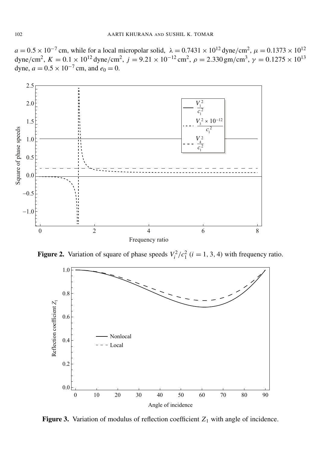$a = 0.5 \times 10^{-7}$  cm, while for a local micropolar solid,  $\lambda = 0.7431 \times 10^{12}$  dyne/cm<sup>2</sup>,  $\mu = 0.1373 \times 10^{12}$ dyne/cm<sup>2</sup>,  $K = 0.1 \times 10^{12}$  dyne/cm<sup>2</sup>,  $j = 9.21 \times 10^{-12}$  cm<sup>2</sup>,  $\rho = 2.330$  gm/cm<sup>3</sup>,  $\gamma = 0.1275 \times 10^{13}$ dyne,  $a = 0.5 \times 10^{-7}$  cm, and  $e_0 = 0$ .

<span id="page-8-0"></span>

<span id="page-8-1"></span>**Figure 2.** Variation of square of phase speeds  $V_i^2/c_1^2$  ( $i = 1, 3, 4$ ) with frequency ratio.



**Figure 3.** Variation of modulus of reflection coefficient  $Z_1$  with angle of incidence.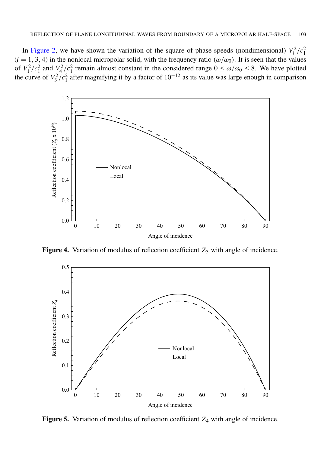In [Figure 2,](#page-8-0) we have shown the variation of the square of phase speeds (nondimensional)  $V_i^2/c_1^2$  $(i = 1, 3, 4)$  in the nonlocal micropolar solid, with the frequency ratio ( $\omega/\omega_0$ ). It is seen that the values of  $V_1^2/c_1^2$  and  $V_4^2/c_1^2$  remain almost constant in the considered range  $0 \le \omega/\omega_0 \le 8$ . We have plotted the curve of  $V_3^2/c_1^2$  after magnifying it by a factor of  $10^{-12}$  as its value was large enough in comparison

<span id="page-9-1"></span>

Figure 4. Variation of modulus of reflection coefficient  $Z_3$  with angle of incidence.

<span id="page-9-0"></span>

Figure 5. Variation of modulus of reflection coefficient  $Z_4$  with angle of incidence.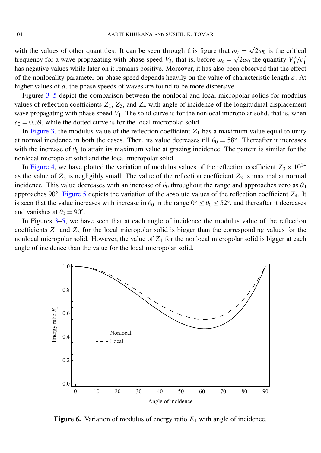with the values of other quantities. It can be seen through this figure that  $\omega_c$  = √  $\omega_c = \sqrt{2\omega_0}$  is the critical frequency for a wave propagating with phase speed *V*<sub>3</sub>, that is, before  $\omega_c = \sqrt{2}\omega_0$  the quantity  $V_3^2/c_1^2$ has negative values while later on it remains positive. Moreover, it has also been observed that the effect of the nonlocality parameter on phase speed depends heavily on the value of characteristic length *a*. At higher values of *a*, the phase speeds of waves are found to be more dispersive.

Figures [3](#page-8-1)[–5](#page-9-0) depict the comparison between the nonlocal and local micropolar solids for modulus values of reflection coefficients  $Z_1$ ,  $Z_3$ , and  $Z_4$  with angle of incidence of the longitudinal displacement wave propagating with phase speed  $V_1$ . The solid curve is for the nonlocal micropolar solid, that is, when  $e_0 = 0.39$ , while the dotted curve is for the local micropolar solid.

In [Figure 3,](#page-8-1) the modulus value of the reflection coefficient  $Z_1$  has a maximum value equal to unity at normal incidence in both the cases. Then, its value decreases till  $\theta_0 = 58^\circ$ . Thereafter it increases with the increase of  $\theta_0$  to attain its maximum value at grazing incidence. The pattern is similar for the nonlocal micropolar solid and the local micropolar solid.

In [Figure 4,](#page-9-1) we have plotted the variation of modulus values of the reflection coefficient  $Z_3 \times 10^{14}$ as the value of  $Z_3$  is negligibly small. The value of the reflection coefficient  $Z_3$  is maximal at normal incidence. This value decreases with an increase of  $\theta_0$  throughout the range and approaches zero as  $\theta_0$ approaches 90◦ . [Figure 5](#page-9-0) depicts the variation of the absolute values of the reflection coefficient *Z*4. It is seen that the value increases with increase in  $\theta_0$  in the range  $0^\circ \le \theta_0 \le 52^\circ$ , and thereafter it decreases and vanishes at  $\theta_0 = 90^\circ$ .

In Figures [3–](#page-8-1)[5,](#page-9-0) we have seen that at each angle of incidence the modulus value of the reflection coefficients  $Z_1$  and  $Z_3$  for the local micropolar solid is bigger than the corresponding values for the nonlocal micropolar solid. However, the value of *Z*<sup>4</sup> for the nonlocal micropolar solid is bigger at each angle of incidence than the value for the local micropolar solid.

<span id="page-10-0"></span>

**Figure 6.** Variation of modulus of energy ratio  $E_1$  with angle of incidence.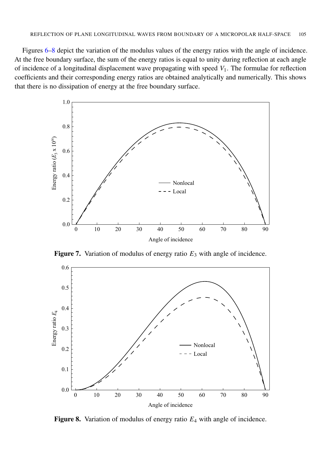Figures [6–](#page-10-0)[8](#page-11-0) depict the variation of the modulus values of the energy ratios with the angle of incidence. At the free boundary surface, the sum of the energy ratios is equal to unity during reflection at each angle of incidence of a longitudinal displacement wave propagating with speed  $V_1$ . The formulae for reflection coefficients and their corresponding energy ratios are obtained analytically and numerically. This shows that there is no dissipation of energy at the free boundary surface.



Figure 7. Variation of modulus of energy ratio  $E_3$  with angle of incidence.

<span id="page-11-0"></span>

Figure 8. Variation of modulus of energy ratio *E*<sup>4</sup> with angle of incidence.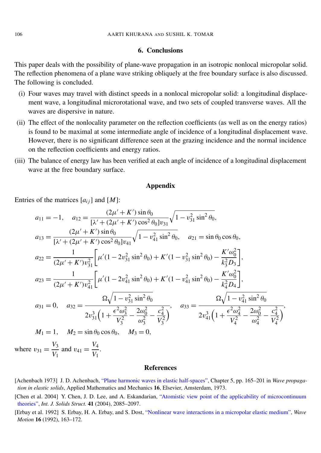#### 6. Conclusions

This paper deals with the possibility of plane-wave propagation in an isotropic nonlocal micropolar solid. The reflection phenomena of a plane wave striking obliquely at the free boundary surface is also discussed. The following is concluded.

- (i) Four waves may travel with distinct speeds in a nonlocal micropolar solid: a longitudinal displacement wave, a longitudinal microrotational wave, and two sets of coupled transverse waves. All the waves are dispersive in nature.
- (ii) The effect of the nonlocality parameter on the reflection coefficients (as well as on the energy ratios) is found to be maximal at some intermediate angle of incidence of a longitudinal displacement wave. However, there is no significant difference seen at the grazing incidence and the normal incidence on the reflection coefficients and energy ratios.
- (iii) The balance of energy law has been verified at each angle of incidence of a longitudinal displacement wave at the free boundary surface.

#### Appendix

<span id="page-12-2"></span>Entries of the matrices  $[a_{ij}]$  and  $[M]$ :

$$
a_{11} = -1, \quad a_{12} = \frac{(2\mu' + K')\sin\theta_{0}}{[\lambda' + (2\mu' + K')\cos^{2}\theta_{0}]v_{31}}\sqrt{1 - v_{31}^{2}\sin^{2}\theta_{0}},
$$
  
\n
$$
a_{13} = \frac{(2\mu' + K')\sin\theta_{0}}{[\lambda' + (2\mu' + K')\cos^{2}\theta_{0}]v_{41}}\sqrt{1 - v_{41}^{2}\sin^{2}\theta_{0}}, \quad a_{21} = \sin\theta_{0}\cos\theta_{0},
$$
  
\n
$$
a_{22} = \frac{1}{(2\mu' + K')v_{31}^{2}}\left[\mu'(1 - 2v_{31}^{2}\sin^{2}\theta_{0}) + K'(1 - v_{31}^{2}\sin^{2}\theta_{0}) - \frac{K'\omega_{0}^{2}}{k_{3}^{2}D_{3}}\right],
$$
  
\n
$$
a_{23} = \frac{1}{(2\mu' + K')v_{41}^{2}}\left[\mu'(1 - 2v_{41}^{2}\sin^{2}\theta_{0}) + K'(1 - v_{41}^{2}\sin^{2}\theta_{0}) - \frac{K'\omega_{0}^{2}}{k_{4}^{2}D_{4}}\right],
$$
  
\n
$$
a_{31} = 0, \quad a_{32} = \frac{\Omega\sqrt{1 - v_{31}^{2}\sin^{2}\theta_{0}}}{2v_{31}^{3}\left(1 + \frac{\epsilon^{2}\omega_{3}^{2}}{V_{3}^{2}} - \frac{2\omega_{0}^{2}}{\omega_{3}^{2}} - \frac{c_{4}^{2}}{V_{3}^{2}}\right)}, \quad a_{33} = \frac{\Omega\sqrt{1 - v_{41}^{2}\sin^{2}\theta_{0}}}{2v_{41}^{3}\left(1 + \frac{\epsilon^{2}\omega_{4}^{2}}{V_{4}^{2}} - \frac{2\omega_{0}^{2}}{\omega_{4}^{2}} - \frac{c_{4}^{2}}{V_{4}^{2}}\right)},
$$
  
\n
$$
M_{1} = 1, \quad M_{2} = \sin\theta_{0}\cos\theta_{0}, \quad M_{3} = 0,
$$
  
\n
$$
v_{31} = \frac{V_{3}}{V_{1}} \text{ and } v_{41} = \frac{V_{4}}{V_{1}}
$$

#### References

- <span id="page-12-3"></span>[Achenbach 1973] J. D. Achenbach, ["Plane harmonic waves in elastic half-spaces",](http://dx.doi.org/10.1016/B978-0-7204-0325-1.50010-2) Chapter 5, pp. 165–201 in *Wave propagation in elastic solids*, Applied Mathematics and Mechanics 16, Elsevier, Amsterdam, 1973.
- <span id="page-12-0"></span>[Chen et al. 2004] Y. Chen, J. D. Lee, and A. Eskandarian, ["Atomistic view point of the applicability of microcontinuum](http://dx.doi.org/10.1016/j.ijsolstr.2003.11.030) [theories",](http://dx.doi.org/10.1016/j.ijsolstr.2003.11.030) *Int. J. Solids Struct.* 41 (2004), 2085–2097.
- <span id="page-12-1"></span>[Erbay et al. 1992] S. Erbay, H. A. Erbay, and S. Dost, ["Nonlinear wave interactions in a micropolar elastic medium",](http://dx.doi.org/10.1016/0165-2125(92)90040-9) *Wave Motion* 16 (1992), 163–172.

where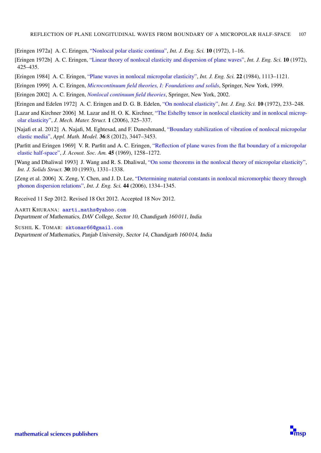- <span id="page-13-0"></span>[Eringen 1972a] A. C. Eringen, ["Nonlocal polar elastic continua",](http://dx.doi.org/10.1016/0020-7225(72)90070-5) *Int. J. Eng. Sci.* 10 (1972), 1–16.
- <span id="page-13-1"></span>[Eringen 1972b] A. C. Eringen, ["Linear theory of nonlocal elasticity and dispersion of plane waves",](http://dx.doi.org/10.1016/0020-7225(72)90050-X) *Int. J. Eng. Sci.* 10 (1972), 425–435.
- <span id="page-13-5"></span>[Eringen 1984] A. C. Eringen, ["Plane waves in nonlocal micropolar elasticity",](http://dx.doi.org/10.1016/0020-7225(84)90112-5) *Int. J. Eng. Sci.* 22 (1984), 1113–1121.
- <span id="page-13-4"></span>[Eringen 1999] A. C. Eringen, *[Microcontinuum field theories, I: Foundations and solids](http://dx.doi.org/10.1007/978-1-4612-0555-5)*, Springer, New York, 1999.
- <span id="page-13-2"></span>[Eringen 2002] A. C. Eringen, *[Nonlocal continuum field theories](http://tinyurl.com/eringen-book)*, Springer, New York, 2002.
- <span id="page-13-3"></span>[Eringen and Edelen 1972] A. C. Eringen and D. G. B. Edelen, ["On nonlocal elasticity",](http://dx.doi.org/10.1016/0020-7225(72)90039-0) *Int. J. Eng. Sci.* 10 (1972), 233–248.
- <span id="page-13-7"></span>[Lazar and Kirchner 2006] M. Lazar and H. O. K. Kirchner, ["The Eshelby tensor in nonlocal elasticity and in nonlocal microp](http://dx.doi.org/10.2140/jomms.2006.1.325)[olar elasticity",](http://dx.doi.org/10.2140/jomms.2006.1.325) *J. Mech. Mater. Struct.* 1 (2006), 325–337.
- <span id="page-13-9"></span>[Najafi et al. 2012] A. Najafi, M. Eghtesad, and F. Daneshmand, ["Boundary stabilization of vibration of nonlocal micropolar](http://dx.doi.org/10.1016/j.apm.2011.09.091) [elastic media",](http://dx.doi.org/10.1016/j.apm.2011.09.091) *Appl. Math. Model.* 36:8 (2012), 3447–3453.
- <span id="page-13-10"></span>[Parfitt and Eringen 1969] V. R. Parfitt and A. C. Eringen, ["Reflection of plane waves from the flat boundary of a micropolar](http://dx.doi.org/10.1121/1.1911598) [elastic half-space",](http://dx.doi.org/10.1121/1.1911598) *J. Acoust. Soc. Am.* 45 (1969), 1258–1272.
- <span id="page-13-6"></span>[Wang and Dhaliwal 1993] J. Wang and R. S. Dhaliwal, ["On some theorems in the nonlocal theory of micropolar elasticity",](http://dx.doi.org/10.1016/0020-7683(93)90215-S) *Int. J. Solids Struct.* 30:10 (1993), 1331–1338.
- <span id="page-13-8"></span>[Zeng et al. 2006] X. Zeng, Y. Chen, and J. D. Lee, ["Determining material constants in nonlocal micromorphic theory through](http://dx.doi.org/10.1016/j.ijengsci.2006.08.002) [phonon dispersion relations",](http://dx.doi.org/10.1016/j.ijengsci.2006.08.002) *Int. J. Eng. Sci.* 44 (2006), 1334–1345.

Received 11 Sep 2012. Revised 18 Oct 2012. Accepted 18 Nov 2012.

AARTI KHURANA: [aarti\\_maths@yahoo.com](mailto:aarti_maths@yahoo.com) Department of Mathematics, DAV College, Sector 10, Chandigarh 160 011, India

SUSHIL K. TOMAR: [sktomar66@gmail.com](mailto:sktomar66@gmail.com) Department of Mathematics, Panjab University, Sector 14, Chandigarh 160 014, India

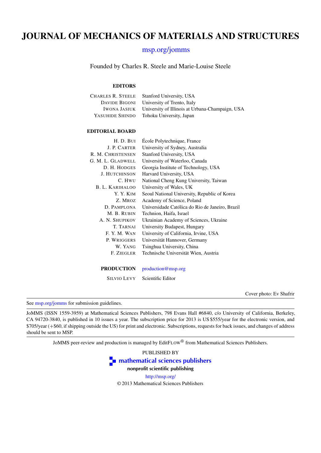# JOURNAL OF MECHANICS OF MATERIALS AND STRUCTURES

## [msp.org/jomms](http://msp.org/jomms/)

Founded by Charles R. Steele and Marie-Louise Steele

#### EDITORS

| Charles R. Steele   | Stanford University, USA                        |
|---------------------|-------------------------------------------------|
| DAVIDE BIGONI       | University of Trento, Italy                     |
| <b>IWONA JASIUK</b> | University of Illinois at Urbana-Champaign, USA |
| YASUHIDE SHINDO     | Tohoku University, Japan                        |
|                     |                                                 |

#### EDITORIAL BOARD

| H. D. BUI              | Ecole Polytechnique, France                     |
|------------------------|-------------------------------------------------|
| J. P. CARTER           | University of Sydney, Australia                 |
| R. M. CHRISTENSEN      | Stanford University, USA                        |
| G. M. L. GLADWELL      | University of Waterloo, Canada                  |
| D. H. HODGES           | Georgia Institute of Technology, USA            |
| <b>J. HUTCHINSON</b>   | Harvard University, USA                         |
| C. HWU                 | National Cheng Kung University, Taiwan          |
| <b>B. L. KARIHALOO</b> | University of Wales, UK                         |
| Y. Y. KIM              | Seoul National University, Republic of Korea    |
| Z. Mroz                | Academy of Science, Poland                      |
| D. PAMPLONA            | Universidade Católica do Rio de Janeiro, Brazil |
| M. B. RUBIN            | Technion, Haifa, Israel                         |
| A. N. SHUPIKOV         | Ukrainian Academy of Sciences, Ukraine          |
| T. TARNAI              | University Budapest, Hungary                    |
| F.Y.M.WAN              | University of California, Irvine, USA           |
| P. WRIGGERS            | Universität Hannover, Germany                   |
| W. YANG                | Tsinghua University, China                      |
| F. ZIEGLER             | Technische Universität Wien, Austria            |
| <b>PRODUCTION</b>      | production@msp.org                              |

SILVIO LEVY Scientific Editor

Cover photo: Ev Shafrir

See [msp.org/jomms](http://msp.org/jomms/) for submission guidelines.

JoMMS (ISSN 1559-3959) at Mathematical Sciences Publishers, 798 Evans Hall #6840, c/o University of California, Berkeley, CA 94720-3840, is published in 10 issues a year. The subscription price for 2013 is US \$555/year for the electronic version, and \$705/year (+\$60, if shipping outside the US) for print and electronic. Subscriptions, requests for back issues, and changes of address should be sent to MSP.

JoMMS peer-review and production is managed by EditFLOW® from Mathematical Sciences Publishers.



© 2013 Mathematical Sciences Publishers